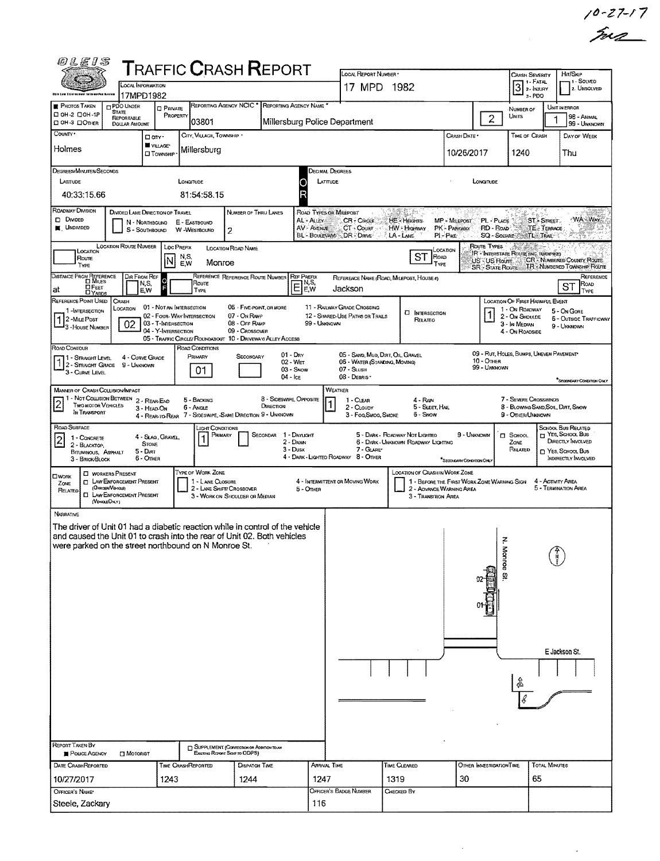| $10 - 27 - 17$ |  |
|----------------|--|
| me             |  |

| <i>01E15</i>                                                                                                                                                                                                                         | <b>TRAFFIC CRASH REPORT</b>                                                                          |                                                                                   | LOCAL REPORT NUMBER *                                                            |                                                                                                                                                        |                                                                    |                                                                                  | HIT/SKIP                                                                       |  |  |  |  |
|--------------------------------------------------------------------------------------------------------------------------------------------------------------------------------------------------------------------------------------|------------------------------------------------------------------------------------------------------|-----------------------------------------------------------------------------------|----------------------------------------------------------------------------------|--------------------------------------------------------------------------------------------------------------------------------------------------------|--------------------------------------------------------------------|----------------------------------------------------------------------------------|--------------------------------------------------------------------------------|--|--|--|--|
| <b>CCAL INFORMATION</b>                                                                                                                                                                                                              |                                                                                                      |                                                                                   | 17 MPD 1982                                                                      |                                                                                                                                                        | <b>CRASH SEVERITY</b><br>$3$<br>$\frac{1}{2}$ - $\frac{1}{NUSARY}$ | 1 - Solved<br>2. UNSOLVED                                                        |                                                                                |  |  |  |  |
| Obly Low Enforcement tolawastlax Assian<br>17MPD1982<br><b>PHOTOS TAKEN</b><br><b>DPDO UNDER</b><br><b>CI PRIVATE</b>                                                                                                                | REPORTING AGENCY NCIC * REPORTING AGENCY NAME                                                        |                                                                                   |                                                                                  |                                                                                                                                                        |                                                                    | $3 - PDO$<br>NUMBER OF                                                           | UNIT IN ERROR                                                                  |  |  |  |  |
| <b>STATE</b><br>□ 0Н-2 □ 0Н-1Р<br><b>REPORTABLE</b><br>⊡ ОН-З □Опнея<br><b>DOLLAR AMOUNT</b>                                                                                                                                         | PROPERTY<br>03801                                                                                    | Millersburg Police Department                                                     |                                                                                  |                                                                                                                                                        | $\overline{c}$                                                     | UNITS                                                                            | 98 - Animal<br>99 - UNKNOWN                                                    |  |  |  |  |
| COUNTY *<br>□ anv·                                                                                                                                                                                                                   | CITY, VILLAGE, TOWNSHIP .                                                                            |                                                                                   |                                                                                  |                                                                                                                                                        | CRASH DATE *                                                       | TIME OF CRASH                                                                    | DAY OF WEEK                                                                    |  |  |  |  |
| <b>W</b> VILLAGE*<br>Holmes<br><b>CI</b> TOWNSHIP                                                                                                                                                                                    | Millersburg                                                                                          |                                                                                   |                                                                                  |                                                                                                                                                        | 10/26/2017                                                         | 1240                                                                             | Thu                                                                            |  |  |  |  |
| DEGREES/MINUTES/SECONDS                                                                                                                                                                                                              |                                                                                                      | Decimal Degrees                                                                   |                                                                                  |                                                                                                                                                        |                                                                    |                                                                                  |                                                                                |  |  |  |  |
| LATITUDE                                                                                                                                                                                                                             | LONGITUDE                                                                                            | LATITUDE                                                                          |                                                                                  |                                                                                                                                                        | LONGTUDE                                                           |                                                                                  |                                                                                |  |  |  |  |
| 40:33:15.66<br>ROADWAY DIVISION<br>DIVIDED LANE DIRECTION OF TRAVEL                                                                                                                                                                  | 81:54:58.15                                                                                          |                                                                                   |                                                                                  |                                                                                                                                                        |                                                                    |                                                                                  |                                                                                |  |  |  |  |
| $D$ Divided<br>N - Northbound<br><b>K</b> UNDIVIDED<br>S - SOUTHBOUND                                                                                                                                                                | NUMBER OF THRU LANES<br>E - EASTBOUND<br>W -WestbouND<br>2                                           | <b>ROAD TYPES OR MILEPOST</b><br>AL - ALLEY<br><b>AV-AVENUE</b><br>BL - BOULEVARD | <b>CR-CIRCLE</b><br>CT - Count<br>DR - Daive                                     | Ú.<br>HE - HEIGHTS<br>MP - MILEPOST<br>HW - Highway<br>PK - PARKWAY<br>$LA - L$<br>$P1 - P$ IKE                                                        | PL - PUCE<br>RD - Road<br>SQ - SOUARE                              | ST - STREET.<br>TE: TERRACE<br><b>TL</b> TRAIL                                   | WA-WAY                                                                         |  |  |  |  |
| <b>LOCATION ROUTE NUMBER</b><br>LOCATION<br>Route                                                                                                                                                                                    | LOC PREFIX<br>LOCATION ROAD NAME<br>N,S,                                                             |                                                                                   |                                                                                  | CCADON<br><b>ST</b><br>ROAD                                                                                                                            | ROUTE TYPES                                                        | Samo<br><b>IR</b> - INTERSTATE ROUTE (INC. TURNSTKE)                             |                                                                                |  |  |  |  |
| IN<br>TYPE<br>Dir From Ref                                                                                                                                                                                                           | Monroe<br>E.W<br>REFERENCE REFERENCE ROUTE NUMBER                                                    | <b>REF PREFIX</b>                                                                 |                                                                                  | TYPE                                                                                                                                                   | US-US Roure<br><b>SR</b> STATE ROUTE                               |                                                                                  | <b>CR</b> - NUMBERED COUNTY ROUTE<br>TR - NUMBERED TOWNSHIP ROUTE<br>Reference |  |  |  |  |
| DISTANCE FROM REFERENCE<br>Ō<br>N,S,<br>∐ Ғєєт<br>at<br>E,W<br><b>DYARDS</b>                                                                                                                                                         | Route<br><b>TYPE</b>                                                                                 | N,S,<br>E<br>E,W                                                                  | Jackson                                                                          | REFERENCE NAME (ROAD, MILEPOST, HOUSE #)                                                                                                               |                                                                    |                                                                                  | ROAD<br><b>ST</b><br>TYPE                                                      |  |  |  |  |
| REFERENCE POINT USED<br>CRASH<br>01 - Not an Intersection<br>LOCATION<br>1-INTERSECTION                                                                                                                                              | 05 - FIVE-POINT, OR MORE                                                                             |                                                                                   | 11 - RAILWAY GRADE CROSSING                                                      |                                                                                                                                                        |                                                                    | LOCATION OF FIRST HARMFUL EVENT<br>1 - On ROADWAY                                | 5 - On GORE                                                                    |  |  |  |  |
| 2-MILE POST<br>02<br>03 - T-INTERSECTION<br>3 - House NUMBER                                                                                                                                                                         | 02 - FOUR-WAY INTERSECTION<br>07 - On Rave<br>08 - Off RAMP                                          | 99 - UNKNOWN                                                                      | 12 - SHARED-USE PATHS OR TRAILS                                                  | <b>CI INTERSECTION</b><br>RELATEO                                                                                                                      |                                                                    | 2 - On Shoulde<br>3 - In MEDIAN                                                  | <b>6 - OUTSIDE TRAFFICWAY</b><br>9 - UNKNOWN                                   |  |  |  |  |
| 04 - Y-INTERSECTION                                                                                                                                                                                                                  | 09 - Crossover<br>05 - TRAFFIC CIRCLE/ ROUNDABOUT 10 - DRIVEWAY/ ALLEY ACCESS                        |                                                                                   |                                                                                  |                                                                                                                                                        |                                                                    | 4 - On ROADSIDE                                                                  |                                                                                |  |  |  |  |
| ROAD CONTOUR<br>4 - CURVE GRADE<br>1 - STRAGHT LEVEL<br>1 2 - STRAIGHT GRADE<br>9 - UNKNOWN<br>3 - Curve Level                                                                                                                       | ROAD CONDITIONS<br>PRIMARY<br>SECONDARY<br>01                                                        | $01 - \text{Day}$<br>02 - Wer<br>03 - Snow                                        | 05 - SAND, MUD, DIRT, OIL, GRAVEL<br>06 - WATER (STANDING, MOVING)<br>07 - SLUSH |                                                                                                                                                        | 10 - Отнев<br>99 - Ummown                                          | 09 - RUT, HOLES, BUMPS, UNEVEN PAVEMENT                                          |                                                                                |  |  |  |  |
| MANNER OF CRASH COLLISION/IMPACT                                                                                                                                                                                                     |                                                                                                      | $04 -$ Ice<br>WEATHER                                                             | 08 - DEBRIS*                                                                     |                                                                                                                                                        |                                                                    |                                                                                  | <sup>*</sup> SEODNEARY CONDITION ONLY                                          |  |  |  |  |
| 1 - Not Collision Between 2 - Rear-End<br>Two motor Vehicles<br>3 - HEAD-ON<br>IN TRANSPORT                                                                                                                                          | 5 - Backing<br>6 - Angle<br>4 - REAR-TO-REAR 7 - SIDESWIPE, SAME DIRECTION 9 - UNKNOWN               | 8 - SIDESWIPE, OPPOSITE<br>DIRECTION                                              | 1 - CLEAR<br>2 - CLOUDY<br>3 - Fog, Smog, Smoke                                  | 4 - RAIN<br>5 - SLEET, HAIL<br>6 - Swow                                                                                                                |                                                                    | 7 - SEVERE CROSSWINDS<br>8 - BLOWING SAND, SOIL, DIRT, SNOW<br>9 - Other/Unknown |                                                                                |  |  |  |  |
| ROAD SURFACE<br>4 - SLAG, GRAVEL,<br>1 - CONCRETE                                                                                                                                                                                    | <b>LIGHT CONDITIONS</b><br>Primary                                                                   | SECONDAR 1 - DAYLIGHT                                                             |                                                                                  | 5 - DARK - ROADWAY NOT LIGHTED                                                                                                                         | 9 - UNKNOWN                                                        | $\Box$ SCHOOL                                                                    | SCHOOL BUS RELATED<br>T YES, SCHOOL BUS                                        |  |  |  |  |
| $\overline{c}$<br><b>STONE</b><br>2 - BLACKTOP,<br>$5 - DRT$<br>BITUMINOUS, ASPHALT<br>6 - Other<br>3 - BRICK BLOCK                                                                                                                  |                                                                                                      | 2 - DAWN<br>$3 - D$ usk<br>4 - DARK - LIGHTED ROADWAY 8 - OTHER                   | 7 - GLARE*                                                                       | DIRECTLY INVOLVED<br>6 - Dark - Unknown Roadway Lighting<br>ZONE<br>RELATED<br>□ YES, SCHOOL Bus<br>INDIRECTLY INVOLVED<br>"Secretariny Compition Only |                                                                    |                                                                                  |                                                                                |  |  |  |  |
| <b>CI WORKERS PRESENT</b><br><b>LIWORK</b><br><b>EL LAW ENFORCEMENT PRESENT</b><br>ZONE<br>(Officer/Verrous)<br>Related<br>LAW ENFORCEMENT PRESENT<br>α<br>(VENOLEONLY)                                                              | TYPE OF WORK ZONE<br>1 - LANE CLOSURE<br>2 - LANE SHIFT/ CROSSOVER<br>3 - WORK ON SHOULDER OR MEDIAN | 4 - INTERMITTENT OR MOVING WORK<br>5 - OTHER                                      |                                                                                  | LOCATION OF CRASH IN WORK ZONE<br>1 - BEFORE THE FIRST WORK ZONE WARNING SIGN<br>2 - ADVANCE WARNING AREA<br>3 - TRANSITION AREA                       |                                                                    |                                                                                  | 4 - ACTIVITY AREA<br>5 - TERMINATION AREA                                      |  |  |  |  |
| <b>NARRATIVE</b><br>The driver of Unit 01 had a diabetic reaction while in control of the vehicle<br>and caused the Unit 01 to crash into the rear of Unit 02. Both vehicles<br>were parked on the street northbound on N Monroe St. |                                                                                                      |                                                                                   |                                                                                  |                                                                                                                                                        |                                                                    | z<br>Monroe                                                                      |                                                                                |  |  |  |  |
| <b>REPORT TAKEN BY</b><br>POLICE AGENCY<br><b>CI MOTORIST</b>                                                                                                                                                                        | <b>El SUPPLEMENT (CORRECTION OR ADDITION TO AM</b><br>Exercive Report Sent to ODPS)                  |                                                                                   |                                                                                  |                                                                                                                                                        |                                                                    |                                                                                  | E Jackson St.                                                                  |  |  |  |  |
| DATE CRASHREPORTED                                                                                                                                                                                                                   | <b>DISPATCH TIME</b><br><b>TIME CRASHREPORTED</b>                                                    | <b>ARRIVAL TIME</b>                                                               |                                                                                  | Time Cleared                                                                                                                                           | OTHER INVESTIGATION TIME                                           | <b>TOTAL MINUTES</b>                                                             |                                                                                |  |  |  |  |
| 10/27/2017<br>1243                                                                                                                                                                                                                   | 1244                                                                                                 | 1247                                                                              |                                                                                  | 1319                                                                                                                                                   | 30                                                                 | 65                                                                               |                                                                                |  |  |  |  |
| OFFICER'S NAME<br>Steele, Zackary                                                                                                                                                                                                    |                                                                                                      | 116                                                                               | OFFICER'S BADGE NUMBER                                                           | Снескер Вү                                                                                                                                             |                                                                    |                                                                                  |                                                                                |  |  |  |  |

 $\bar{\gamma}$ 

Ŷ,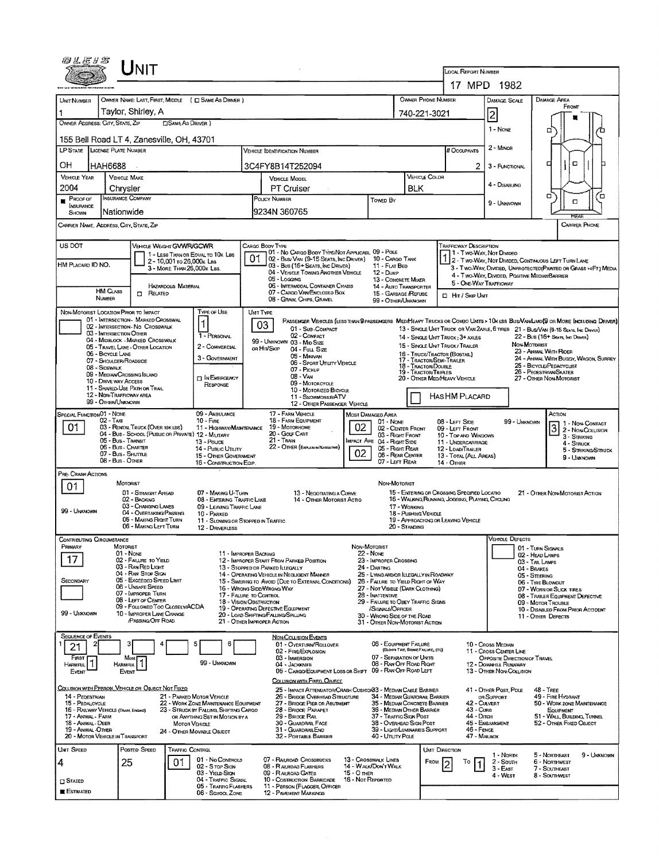| 0LE1S                                                                 |                                          | JNIT                                                                    |                                                         |                                                                                 |                  |                                                                                                          |                                  |                                                                       |                                  |                                                  |                                                                  |                                                        |                                                                                                                                                                                                                     |  |  |  |
|-----------------------------------------------------------------------|------------------------------------------|-------------------------------------------------------------------------|---------------------------------------------------------|---------------------------------------------------------------------------------|------------------|----------------------------------------------------------------------------------------------------------|----------------------------------|-----------------------------------------------------------------------|----------------------------------|--------------------------------------------------|------------------------------------------------------------------|--------------------------------------------------------|---------------------------------------------------------------------------------------------------------------------------------------------------------------------------------------------------------------------|--|--|--|
|                                                                       |                                          |                                                                         |                                                         |                                                                                 |                  |                                                                                                          |                                  |                                                                       |                                  |                                                  | LOCAL REPORT NUMBER                                              | 17 MPD 1982                                            |                                                                                                                                                                                                                     |  |  |  |
| UNIT NUMBER                                                           |                                          |                                                                         |                                                         | OWNER NAME: LAST, FIRST, MIDDLE ( C) SAME AS DRIVER )                           |                  |                                                                                                          |                                  |                                                                       |                                  | OWNER PHONE NUMBER                               |                                                                  | DAMAGE SCALE                                           | <b>DAMAGE AREA</b>                                                                                                                                                                                                  |  |  |  |
|                                                                       |                                          | Taylor, Shirley, A                                                      |                                                         |                                                                                 |                  |                                                                                                          |                                  |                                                                       |                                  | 740-221-3021                                     |                                                                  | $\overline{2}$                                         | FRONT                                                                                                                                                                                                               |  |  |  |
| OWNER ADDRESS: CITY, STATE, ZIP                                       |                                          |                                                                         | <b>CISAME AS DRIVER )</b>                               |                                                                                 |                  |                                                                                                          |                                  |                                                                       |                                  |                                                  |                                                                  |                                                        |                                                                                                                                                                                                                     |  |  |  |
| 155 Bell Road LT 4, Zanesville, OH, 43701                             |                                          |                                                                         |                                                         |                                                                                 |                  |                                                                                                          |                                  |                                                                       |                                  |                                                  |                                                                  | 1 - NONE                                               | □                                                                                                                                                                                                                   |  |  |  |
| <b>LP STATE</b>                                                       | LICENSE PLATE NUMBER                     |                                                                         |                                                         |                                                                                 |                  | <b>VEHICLE IDENTIFICATION NUMBER</b>                                                                     |                                  |                                                                       |                                  |                                                  | # OccupANTS                                                      | 2 - MINOR                                              |                                                                                                                                                                                                                     |  |  |  |
| ОН                                                                    | HAH6688                                  |                                                                         |                                                         |                                                                                 | 3C4FY8B14T252094 |                                                                                                          | 2                                | 3 - FUNCTIONAL                                                        | ۵<br>п                           |                                                  |                                                                  |                                                        |                                                                                                                                                                                                                     |  |  |  |
| <b>VEHICLE YEAR</b>                                                   | <b>VEHICLE MAKE</b>                      |                                                                         |                                                         |                                                                                 |                  | VEHICLE COLOR                                                                                            |                                  |                                                                       |                                  |                                                  |                                                                  |                                                        |                                                                                                                                                                                                                     |  |  |  |
| 2004                                                                  | Chrysler                                 |                                                                         |                                                         |                                                                                 |                  | PT Cruiser                                                                                               |                                  |                                                                       | BLK                              |                                                  |                                                                  | 4 - DISABLING                                          |                                                                                                                                                                                                                     |  |  |  |
| $P_{\text{ROOF OF}}$<br><b>INSURANCE</b><br>SHOWN                     | <b>INSURANCE COMPANY</b><br>Nationwide   |                                                                         |                                                         |                                                                                 |                  | POLICY NUMBER<br>9234N 360765                                                                            |                                  | Towen By                                                              |                                  |                                                  |                                                                  | 9 - Unknown                                            | о<br>o<br>α                                                                                                                                                                                                         |  |  |  |
| CARRIER NAME, ADDRESS, CITY, STATE, ZIP                               |                                          |                                                                         |                                                         |                                                                                 |                  |                                                                                                          |                                  |                                                                       |                                  |                                                  |                                                                  |                                                        | RFAI<br><b>CARRIER PHONE</b>                                                                                                                                                                                        |  |  |  |
| US DOT                                                                |                                          | VEHICLE WEIGHT GVWR/GCWR                                                |                                                         |                                                                                 |                  | CARGO BODY TYPE                                                                                          |                                  |                                                                       |                                  |                                                  | <b>TRAFFICWAY DESCRIPTION</b>                                    |                                                        |                                                                                                                                                                                                                     |  |  |  |
|                                                                       |                                          |                                                                         |                                                         | 1 - LESS THAN OR EOUAL TO 10K LBS                                               |                  | 01 - No CARGO BODY TYPE/NOT APPLICABL 09 - POLE<br>02 - Bus/VAN (9-15 SEATS, INC DRIVER) 10 - CARGO TANK |                                  |                                                                       |                                  |                                                  |                                                                  | 1 - Two-Way, Not Divideo                               |                                                                                                                                                                                                                     |  |  |  |
| HM PLACARD ID NO.                                                     |                                          |                                                                         | 2 - 10,001 To 26,000K LBS<br>3 - MORE THAN 26,000K LBS. |                                                                                 |                  | 03 - Bus (16+ Seats, Inc Driver)<br>04 - VEHICLE TOWING ANOTHER VEHICLE                                  |                                  | 11 - FLAT BED<br>$12 - D$ ump                                         |                                  |                                                  |                                                                  |                                                        | 112 - Two-Way, Not Divided, Continuous LEFT TURN LANE<br>3 - Two-Way, Divideo, Unprotected (Painteo or Grass >4FT.) Media                                                                                           |  |  |  |
|                                                                       |                                          |                                                                         | HAZARDOUS MATERIAL                                      |                                                                                 |                  | 05 - Logang<br>06 - INTERMODAL CONTAINER CHASIS                                                          |                                  | 13 - CONCRETE MIXER<br><b>14 - AUTO TRANSPORTER</b>                   |                                  |                                                  | 5 - ONE-WAY TRAFFICWAY                                           |                                                        | 4 - Two-WAY, DIVIDED, POSITIVE MEDIANBARRIER                                                                                                                                                                        |  |  |  |
|                                                                       | <b>HM CLASS</b><br><b>NUMBER</b>         | <b>n</b> Related                                                        |                                                         |                                                                                 |                  | 07 - CARGO VAN ENCLOSED BOX<br>08 - GRAIN, CHIPS, GRAVEL                                                 |                                  | 15 - GARBAGE /REFUSE<br>99 - OTHER/UNKNOWN                            |                                  |                                                  | □ Hr / Skip Unit                                                 |                                                        |                                                                                                                                                                                                                     |  |  |  |
| NON-MOTORIST LOCATION PRIOR TO IMPACT                                 |                                          |                                                                         |                                                         | <b>TYPE OF USE</b>                                                              |                  | UMT TYPE                                                                                                 |                                  |                                                                       |                                  |                                                  |                                                                  |                                                        |                                                                                                                                                                                                                     |  |  |  |
|                                                                       |                                          | 01 - INTERSECTION - MARKED CROSSWAL<br>02 - INTERSECTION - NO CROSSWALK |                                                         | $\mathbf 1$                                                                     |                  | 03<br>01 - Sub-COMPACT                                                                                   |                                  |                                                                       |                                  |                                                  |                                                                  |                                                        | PASSENGER VEHICLES (LESS THAN G PASSENGERS MEDIMEANY TRUCKS OR COMBO UNITS > 10K LBS BUS/VAN/LIMO(9 OR MORE INCLUDING DRIVER)<br>13 - SINGLE UNIT TRUCK OR VAN 2AXLE, 6 TIRES 21 - BUS/VAN (9-15 SEATS, INC DRIVER) |  |  |  |
|                                                                       | 03 - INTERSECTION OTHER                  | 04 - MIDBLOCK - MARKED CROSSWALK                                        |                                                         | 1 - PERSONAL                                                                    |                  | 02 - COMPACT<br>99 - UNKNOWN 03 - MID SIZE                                                               |                                  |                                                                       |                                  |                                                  | 14 - SINGLE UNIT TRUCK: 3+ AXLES                                 |                                                        | 22 - BUS (16+ Seats, Inc Driver)                                                                                                                                                                                    |  |  |  |
|                                                                       | 06 - BICYCLE LANE                        | 05 - TRAVEL LANE - OTHER LOCATION                                       |                                                         | 2 - COMMERCIAL                                                                  |                  | OR HIT/SKIP<br>04 - Fut Size<br>05 - Minjvan                                                             |                                  |                                                                       |                                  |                                                  | 15 - SINGLE UNIT TRUCK / TRAILER<br>16 - TRUCK/TRACTOR (BOBTAIL) |                                                        | NON-MOTORIST<br>23 - AMMAL WITH RIDER                                                                                                                                                                               |  |  |  |
|                                                                       | 07 - SHOULDER/ROADSIDE<br>08 - Sidewalk  |                                                                         |                                                         | 3 - GOVERNMENT                                                                  |                  | 06 - Sport Uttury Vehicle<br>07 - PICKUP                                                                 |                                  |                                                                       |                                  | 17 - TRACTOR/SEMI-TRAILER<br>18 - TRACTOR/DOUBLE |                                                                  |                                                        | 24 - AMMAL WITH BUGGY, WAGON, SURREY<br>25 - BICYCLE/PEDACYCLIST                                                                                                                                                    |  |  |  |
|                                                                       | 10 - DRIVE WAY ACCESS                    | 09 - MEDIAN CROSSING ISLAND                                             |                                                         | <b>DIN EMERGENCY</b>                                                            |                  | $08 - V_{AN}$<br>09 - MOTORCYCLE                                                                         |                                  |                                                                       |                                  | 19 - TRACTOR/TRIPLES                             | 20 - OTHER MEDIHEAVY VEHICLE                                     |                                                        | 26 - PEDESTRIAN/SKATER<br>27 - OTHER NON-MOTORIST                                                                                                                                                                   |  |  |  |
|                                                                       | 12 - NON-TRAFFICWAY AREA                 | 11 - SHARED-USE PATH OR TRAIL                                           |                                                         | RESPONSE                                                                        |                  | 10 - MOTORIZED BICYCLE<br>11 - SNOVMOBILE/ATV                                                            |                                  |                                                                       |                                  |                                                  | HASHM PLACARD                                                    |                                                        |                                                                                                                                                                                                                     |  |  |  |
|                                                                       | 99 - OTHER/UNKNOWN                       |                                                                         |                                                         |                                                                                 |                  | 12 - OTHER PASSENGER VEHICLE                                                                             |                                  |                                                                       |                                  |                                                  |                                                                  |                                                        |                                                                                                                                                                                                                     |  |  |  |
| SPECIAL FUNCTION 01 - NONE                                            | 02 - Тах                                 |                                                                         |                                                         | 09 - AMBULANCE<br>10 - Fine                                                     |                  | 17 - FARM VEHICLE<br>18 - FARM EQUIPMENT                                                                 |                                  | MOST DAMAGED AREA<br>01 - None                                        |                                  |                                                  | 08 - LEFT SIDE                                                   | 99 - UNKNOWN                                           | Астюм<br>1 - Non-Contact                                                                                                                                                                                            |  |  |  |
| 01                                                                    |                                          | 03 - RENTAL TRUCK (OVER 10K LBS)                                        |                                                         | 11 - HIGHWAY/MAINTENANCE<br>04 - Bus - School (Public or Private) 12 - Military |                  | 19 - Мотовноме<br>20 - Gour Cart                                                                         | 02                               | 02 - CEMTER FRONT<br>03 - Right Front                                 |                                  |                                                  | 09 - LEFT FRONT<br>10 - TOP AND WINDOWS                          |                                                        | 3 <br>2 - Non-Colusion<br>3 - STRIKING                                                                                                                                                                              |  |  |  |
|                                                                       | 05 - Bus - TRANSIT<br>06 - Bus - CHARTER |                                                                         |                                                         | 13 - Pouce<br>14 - Pustic Utium                                                 |                  | $21 -$ TRAIN<br>22 - OTHER (EXPLANIN NARRATIVE)                                                          |                                  | <b>IMPACT ARE 04 - RIGHT SIDE</b><br>05 - Right Rear                  |                                  |                                                  | 11 - UNDERCARRIAGE<br>12 - LOAD/TRAILER                          |                                                        | 4 - STRUCK<br>5 - STRIKING/STRUCK                                                                                                                                                                                   |  |  |  |
|                                                                       | 07 - Bus - SHUTTLE<br>08 - Bus - OTHER   |                                                                         |                                                         | 15 - OTHER GOVERNMENT<br>16 - CONSTRUCTION EQIP.                                |                  |                                                                                                          | 02 <sub>2</sub>                  | 06 - REAR CENTER<br>07 - LEFT REAR                                    |                                  |                                                  | 13 - TOTAL (ALL AREAS)<br>14 - Отнен                             |                                                        | 9 - UNKNOWN                                                                                                                                                                                                         |  |  |  |
| PRE- CRASH ACTIONS                                                    |                                          |                                                                         |                                                         |                                                                                 |                  |                                                                                                          |                                  |                                                                       |                                  |                                                  |                                                                  |                                                        |                                                                                                                                                                                                                     |  |  |  |
| 01                                                                    | MOTORIST                                 | 01 - STRAIGHT AHEAD                                                     |                                                         | 07 - MAKING U-TURN                                                              |                  | 13 - Negotiating a Curve                                                                                 |                                  | NON-MOTORIST                                                          |                                  |                                                  | 15 - ENTERING OR CROSSING SPECIFIED LOCATIO                      |                                                        | 21 - OTHER NON-MOTORIST ACTION                                                                                                                                                                                      |  |  |  |
|                                                                       |                                          | 02 - BACKING<br>03 - CHANGING LANES                                     |                                                         | 08 - ENTERING TRAFFIC LANE<br>09 - LEAVING TRAFFIC LANE                         |                  | 14 - OTHER MOTORIST ACTIO                                                                                |                                  |                                                                       | 17 - WORKING                     |                                                  | 16 - WALKING RUNNING, JOGGING, PLAYING, CYCLING                  |                                                        |                                                                                                                                                                                                                     |  |  |  |
| 99 - UNKNOWN                                                          |                                          | 04 - OVERTAKING/PASSING<br>05 - MAKING RIGHT TURN                       |                                                         | 10 - PARKED<br>11 - SLOWING OR STOPPED IN TRAFFIC                               |                  |                                                                                                          |                                  |                                                                       | 18 - PUSHING VEHICLE             |                                                  | 19 - APPROACHING OR LEAVING VEHICLE                              |                                                        |                                                                                                                                                                                                                     |  |  |  |
|                                                                       |                                          | 06 - MAKING LEFT TURN                                                   |                                                         | 12 - DRIVERLESS                                                                 |                  |                                                                                                          |                                  |                                                                       | 20 - STANDING                    |                                                  |                                                                  |                                                        |                                                                                                                                                                                                                     |  |  |  |
| <b>CONTRIBUTING CIRCUMSTANCE</b><br>PRIMARY                           | MOTORIST                                 |                                                                         |                                                         |                                                                                 |                  |                                                                                                          |                                  | NON-MOTORIST                                                          |                                  |                                                  |                                                                  | <b>VEHICLE DEFECTS</b>                                 |                                                                                                                                                                                                                     |  |  |  |
|                                                                       | 01 - None                                | 02 - FAILURE TO YIELD                                                   |                                                         | 11 - IMPROPER BACKING                                                           |                  | 12 - IMPROPER START FROM PARKED POSITION                                                                 |                                  | 22 NONE<br>23 - IMPROPER CROSSING                                     |                                  |                                                  |                                                                  |                                                        | 01 TURN SIGNALS<br>02 - HEAD LAMPS                                                                                                                                                                                  |  |  |  |
|                                                                       |                                          | 03 - RAN RED LIGHT<br>04 - RAN STOP SIGN                                |                                                         |                                                                                 |                  | 13 - STOPPED OR PARKED ILLEGALLY<br>14 - OPERATING VEHICLE IN NEGLIGENT MANNER                           |                                  | 24 - DARTING<br>25 - LYING ANDIOR LLEGALLY IN ROADWAY                 |                                  |                                                  |                                                                  |                                                        | 03 - TAIL LAMPS<br>04 - BRAKES                                                                                                                                                                                      |  |  |  |
| SECONDARY                                                             |                                          | 05 - Exceeped Speed Limit<br>06 - UNSAFE SPEED                          |                                                         |                                                                                 |                  | 15 - Swering to Avoid (Due to External Conditions)<br>16 - WRONG SIDEAVRONG WAY                          |                                  | 26 - FALURE TO YIELD RIGHT OF WAY<br>27 - NOT VISIBLE (DARK CLOTHING) |                                  |                                                  |                                                                  |                                                        | 05 - STEERING<br>06 - THE BLOWOUT                                                                                                                                                                                   |  |  |  |
|                                                                       |                                          | 07 - IMPROPER TURN<br>08 - LEFT OF CENTER                               |                                                         | 17 - FALURE TO CONTROL                                                          |                  | 18 - Vision OBSTRUCTION                                                                                  |                                  | 28 - INATTENTIVE<br>29 - FAILURE TO OBEY TRAFFIC SIGNS                |                                  |                                                  | 07 - WORN OR SLICK TIRES<br>08 - TRAILER EQUIPMENT DEFECTIVE     |                                                        |                                                                                                                                                                                                                     |  |  |  |
| 99 - UNKNOWN                                                          |                                          | 09 - FOLLOWED TOO CLOSELY/ACDA<br>10 - IMPROPER LANE CHANGE             |                                                         |                                                                                 |                  | 19 - OPERATING DEFECTIVE EQUIPMENT<br>20 - LOAD SHIFTING/FALLING/SPILLING                                |                                  | /SIGNALS/OFFICER<br>30 - WRONG SIDE OF THE ROAD                       |                                  |                                                  |                                                                  |                                                        | 09 - MOTOR TROUBLE<br>10 - DISABLED FROM PRIOR ACCIDENT<br>11 - OTHER DEFECTS                                                                                                                                       |  |  |  |
|                                                                       |                                          | PASSING OFF ROAD                                                        |                                                         |                                                                                 |                  | 21 - OTHER IMPROPER ACTION                                                                               |                                  | 31 - OTHER NON-MOTORIST ACTION                                        |                                  |                                                  |                                                                  |                                                        |                                                                                                                                                                                                                     |  |  |  |
| <b>SEQUENCE OF EVENTS</b>                                             |                                          |                                                                         |                                                         | 5<br>6                                                                          |                  | <b>NON-COLLISION EVENTS</b>                                                                              |                                  | 06 - EQUIPMENT FAILURE                                                |                                  |                                                  |                                                                  | 10 - Cross Meman                                       |                                                                                                                                                                                                                     |  |  |  |
| 21<br>FIRST                                                           |                                          | Most                                                                    |                                                         |                                                                                 |                  | 01 - OVERTURN/ROLLOVER<br>02 - FIRE/EXPLOSION<br>03 - IMMERSION                                          |                                  | 07 - SEPARATION OF UNITS                                              | (BLOWN TIRE, BRAKE FAILURE, ETC) |                                                  |                                                                  | 11 - CROSS CENTER LINE<br>OPPOSITE DIRECTION OF TRAVEL |                                                                                                                                                                                                                     |  |  |  |
| Harmful<br>EVENT                                                      | <b>HARMFUL</b><br>Event                  |                                                                         |                                                         | 99 - Unknown                                                                    |                  | 04 - JACKKNIFE<br>05 - CARGO/EQUIPMENT LOSS OR SHIFT 09 - RAN OFF ROAD LEFT                              |                                  | 08 - RAN OFF ROAD RIGHT                                               |                                  |                                                  |                                                                  | 12 - DOWNHILL RUNAWAY<br>13 - OTHER NON-COLLISION      |                                                                                                                                                                                                                     |  |  |  |
|                                                                       |                                          |                                                                         |                                                         |                                                                                 |                  | COLLISION WITH FIXED, OBJECT                                                                             |                                  |                                                                       |                                  |                                                  |                                                                  |                                                        |                                                                                                                                                                                                                     |  |  |  |
| COLLISION WITH PERSON, VEHICLE OR OBJECT NOT FIXED<br>14 - PEDESTRIAN |                                          |                                                                         |                                                         | 21 - PARKED MOTOR VEHICLE                                                       |                  | 25 - Impact Attenuator/Crash Cushion33 - Median Cable Barrier<br>26 - BRIDGE OVERHEAD STRUCTURE          |                                  | 34 - MEDIAN GUARDRAIL BARRIER                                         |                                  |                                                  |                                                                  | 41 - OTHER POST, POLE<br>or Support                    | 48 - TREE<br>49 - FIRE HYDRANT                                                                                                                                                                                      |  |  |  |
| 15 - PEDALCYCLE<br>16 - RAILWAY VEHICLE (TRAIN, ENGINE)               |                                          |                                                                         |                                                         | 22 - WORK ZONE MAINTENANCE EQUIPMENT<br>23 - STRUCK BY FALLING, SHIFTING CARGO  |                  | 27 - BRIDGE PIER OR ABUTMENT<br>28 - BRIDGE PARAPET                                                      |                                  | 35 - MEDIAN CONCRETE BARRIER<br>36 - MEDIAN OTHER BARRIER             |                                  |                                                  | 42 - CULVERT<br>43 - Cuna                                        |                                                        | 50 - WORK ZONE MAINTENANCE<br>Есирмент                                                                                                                                                                              |  |  |  |
| 17 - Animal - Farm<br>18 - ANIMAL - DEER                              |                                          |                                                                         | <b>MOTOR VEHICLE</b>                                    | OR ANYTHING SET IN MOTION BY A                                                  |                  | 29 - BRIDGE RAIL<br>30 - GUARDRAIL FACE                                                                  |                                  | 37 - TRAFFIC SIGN POST<br>38 - Overhead Sign Post                     |                                  |                                                  | 44 - Олон                                                        | 45 - EMBANKMENT                                        | 51 - WALL BUILDING, TUNNEL<br>52 - OTHER FIXED OBJECT                                                                                                                                                               |  |  |  |
| 19 - ANIMAL-OTHER<br>20 - MOTOR VEHICLE IN TRANSPORT                  |                                          |                                                                         |                                                         | 24 - OTHER MOVABLE OBJECT                                                       |                  | 31 - GUARDRAILEND<br>32 - PORTABLE BARRIER                                                               |                                  | 39 - LIGHT/LUMINARIES SUPPORT<br>40 - Unury PoLE                      |                                  |                                                  | 46 - FENCE<br>47 - MAILBOX                                       |                                                        |                                                                                                                                                                                                                     |  |  |  |
| UNIT SPEED                                                            |                                          | POSTED SPEED                                                            | TRAFFIC CONTROL                                         |                                                                                 |                  |                                                                                                          |                                  |                                                                       |                                  | <b>UNT DIRECTION</b>                             |                                                                  |                                                        | 9 - UNKNOWN                                                                                                                                                                                                         |  |  |  |
| 4                                                                     | 25                                       |                                                                         | 01                                                      | 01 - No CONTROLS<br>02 - S TOP Skan                                             |                  | 07 - RAILROAD CROSSBUCKS<br>08 - RALROAD FLASHERS                                                        |                                  | 13 - CROSSWALK LINES<br>14 - WALK/DON'T WALK                          |                                  | FROM 2                                           | To                                                               | 1 - Norm<br>2 - South                                  | 5 - NORTHEAST<br>6 - Northwest                                                                                                                                                                                      |  |  |  |
| $\Box$ Stated                                                         |                                          |                                                                         |                                                         | 03 - YIELD Stan<br>04 - TRAFFIC SIGNAL                                          |                  | 09 - RAILROAD GATES<br>10 - Costruction Barricade                                                        | 15 - О тнея<br>16 - Not Reported |                                                                       |                                  |                                                  |                                                                  | $3 - EAST$<br>4 - West                                 | 7 - SOUTHEAST<br>8 - SOUTHMEST                                                                                                                                                                                      |  |  |  |
| <b>ESTIMATED</b>                                                      |                                          |                                                                         |                                                         | 05 - TRAFFIC FLASHERS<br>06 - SCHOOL ZONE                                       |                  | 11 - PERSON (FLAGGER, OFFICER<br><b>12 - PAVEMENT MARKINGS</b>                                           |                                  |                                                                       |                                  |                                                  |                                                                  |                                                        |                                                                                                                                                                                                                     |  |  |  |
|                                                                       |                                          |                                                                         |                                                         |                                                                                 |                  |                                                                                                          |                                  |                                                                       |                                  |                                                  |                                                                  |                                                        |                                                                                                                                                                                                                     |  |  |  |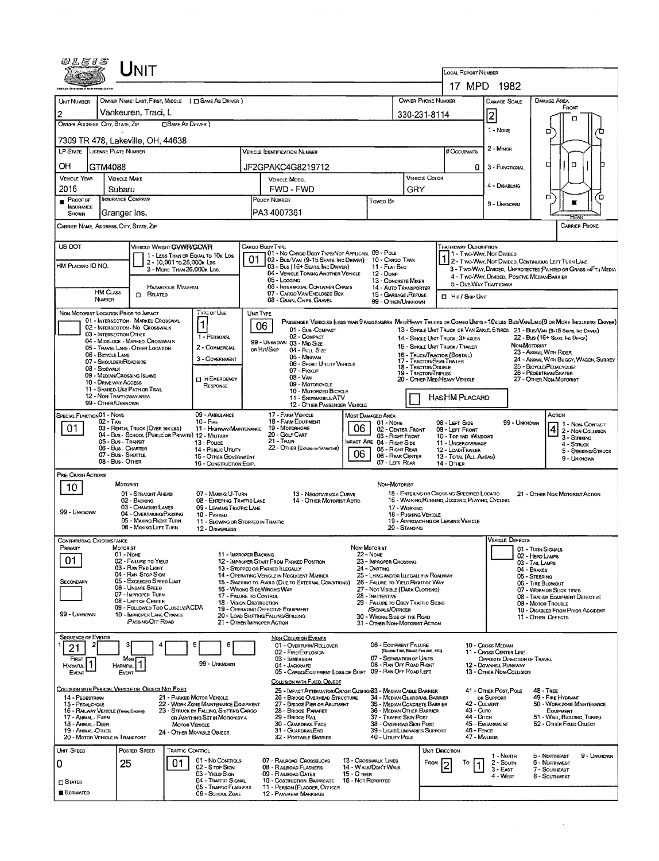| 02E1S                                                                         |                                                | JNIT                                                                     |                            |                                                                                 |           |                 |                                                                                                 |                   |                                                                                     |                   |                                                    |                                                           |                                                        |                                  |                                                                                                                              |  |  |  |
|-------------------------------------------------------------------------------|------------------------------------------------|--------------------------------------------------------------------------|----------------------------|---------------------------------------------------------------------------------|-----------|-----------------|-------------------------------------------------------------------------------------------------|-------------------|-------------------------------------------------------------------------------------|-------------------|----------------------------------------------------|-----------------------------------------------------------|--------------------------------------------------------|----------------------------------|------------------------------------------------------------------------------------------------------------------------------|--|--|--|
|                                                                               |                                                |                                                                          |                            |                                                                                 |           |                 |                                                                                                 |                   |                                                                                     |                   |                                                    | LOCAL REPORT NUMBER                                       | 17 MPD 1982                                            |                                  |                                                                                                                              |  |  |  |
|                                                                               |                                                |                                                                          |                            |                                                                                 |           |                 |                                                                                                 |                   |                                                                                     |                   | OWNER PHONE NUMBER                                 |                                                           |                                                        |                                  |                                                                                                                              |  |  |  |
| UNIT NUMBER                                                                   |                                                | Vankeuren, Traci, L                                                      |                            | OWNER NAME: LAST, FIRST, MIDDLE ( C SAME AS DRIVER )                            |           |                 |                                                                                                 |                   |                                                                                     |                   |                                                    |                                                           | DAMAGE SCALE                                           |                                  | DAMAGE AREA<br>FRONT                                                                                                         |  |  |  |
| 2<br>OWNER ADDRESS: CITY, STATE, ZIP                                          |                                                |                                                                          | <b>CISAME AS DRIVER</b> )  |                                                                                 |           |                 |                                                                                                 |                   |                                                                                     | 2<br>330-231-8114 |                                                    |                                                           |                                                        |                                  | п                                                                                                                            |  |  |  |
| 7309 TR 478, Lakeville, OH, 44638                                             |                                                |                                                                          |                            |                                                                                 |           |                 |                                                                                                 |                   |                                                                                     |                   |                                                    |                                                           | 1 - None                                               |                                  | α                                                                                                                            |  |  |  |
| <b>LP STATE LICENSE PLATE NUMBER</b>                                          |                                                |                                                                          |                            |                                                                                 |           |                 | <b>VEHICLE IDENTIFICATION NUMBER</b>                                                            |                   |                                                                                     |                   |                                                    | # Occupants                                               | 2 - Minon                                              |                                  |                                                                                                                              |  |  |  |
| OΗ                                                                            | GTM4088                                        |                                                                          |                            |                                                                                 |           |                 | JF2GPAKC4G8219712                                                                               |                   |                                                                                     |                   |                                                    | 0                                                         | 3 - FUNCTIONAL                                         |                                  | 0<br>п                                                                                                                       |  |  |  |
| <b>VEHICLE YEAR</b>                                                           |                                                | VEHICLE COLOR<br><b>VEHICLE MAKE</b><br><b>VEHICLE MODEL</b>             |                            |                                                                                 |           |                 |                                                                                                 |                   |                                                                                     |                   |                                                    |                                                           |                                                        |                                  |                                                                                                                              |  |  |  |
| 2016                                                                          | Subaru                                         |                                                                          |                            |                                                                                 |           |                 | FWD - FWD                                                                                       |                   |                                                                                     | GRY               |                                                    |                                                           | 4 - DISABUNG                                           |                                  |                                                                                                                              |  |  |  |
| PROOF OF<br>INSURANCE                                                         | INSURANCE COMPANY                              |                                                                          |                            |                                                                                 |           | POLICY NUMBER   |                                                                                                 |                   | Towed By                                                                            |                   |                                                    |                                                           | 9 - Unknown                                            | α<br>Έ                           |                                                                                                                              |  |  |  |
| SHOWN                                                                         | Granger Ins.                                   |                                                                          |                            |                                                                                 |           | PA3 4007361     |                                                                                                 |                   |                                                                                     |                   |                                                    |                                                           |                                                        |                                  | REAR                                                                                                                         |  |  |  |
| CARRIER NAME, ADDRESS, CITY, STATE, ZIP                                       |                                                |                                                                          |                            |                                                                                 |           |                 |                                                                                                 |                   |                                                                                     |                   |                                                    |                                                           |                                                        |                                  | <b>CARRIER PHONE</b>                                                                                                         |  |  |  |
| US DOT                                                                        |                                                | VEHICLE WEIGHT GVWR/GCWR                                                 |                            |                                                                                 |           | CARGO BODY TYPE | 01 - No CARGO BODY TYPE/NOT APPLICABL 09 - POLE                                                 |                   |                                                                                     |                   |                                                    | <b>TRAFFICWAY DESCRIPTION</b>                             | 1 - Two-Way, Not Divided                               |                                  |                                                                                                                              |  |  |  |
| HM PLACARD ID NO.                                                             |                                                |                                                                          | 2 - 10,001 To 26,000 k Lss | 1 - LESS THAN OR EQUAL TO 10K LBS                                               |           |                 | 02 - Bus/Van (9-15 Seats, Inc Driver)<br>03 - Bus (16+ Seats, Inc Driver)                       |                   | 10 - Cargo Tank<br>11 - FLAT BEO                                                    |                   |                                                    |                                                           |                                                        |                                  | 2 - TWO-WAY, NOT DIVIDED, CONTINUOUS LEFT TURN LANE                                                                          |  |  |  |
|                                                                               |                                                |                                                                          | 3 - MORE THAN 26,000K LBS. |                                                                                 |           |                 | 04 - VEHICLE TOWING ANOTHER VEHICLE<br>05 - Logging                                             |                   | 12 - Dump<br>13 - CONCRETE MIXER                                                    |                   |                                                    |                                                           | 4 - Two-WAY, DIVIDED, POSITIVE MEDIANBARRIER           |                                  | 3 - Two-Way, Divideo, UNPROTECTED (PAINTED OR GRASS >4FT.) MEDIA                                                             |  |  |  |
|                                                                               | HM CLASS                                       | n.<br>RELATED                                                            | HAZARDOUS MATERIAL         |                                                                                 |           |                 | 06 - INTERMODAL CONTAINER CHASIS<br>07 - CARGO VAN/ENCLOSED BOX                                 |                   | 14 - AUTO TRANSPORTER<br>15 - GARBAGE /REFUSE                                       |                   |                                                    |                                                           | 5 - OME-WAY TRAFFICWAY                                 |                                  |                                                                                                                              |  |  |  |
|                                                                               | NUMBER                                         |                                                                          |                            |                                                                                 |           |                 | 08 - GRAIN, CHIPS, GRAVEL                                                                       |                   | 99 - OTHER/UNKNOWN                                                                  |                   |                                                    | <b>I</b> HIT / SKIP UNIT                                  |                                                        |                                  |                                                                                                                              |  |  |  |
| NON-MOTORIST LOCATION PRIOR TO IMPACT                                         |                                                | 01 - INTERSECTION - MARKED CROSSWAL                                      |                            | TYPE OF USE<br>1                                                                | UNIT TYPE |                 |                                                                                                 |                   |                                                                                     |                   |                                                    |                                                           |                                                        |                                  | PASSENGER VEHICLES (LESS THAN 9 PASSENGERS MED/HEAVY TRUCKS OR COMBO UNITS > 10K LBS BUS/VAN/LMO(9 OR MORE INCLUDING DRIVER) |  |  |  |
|                                                                               | 03 - INTERSECTION OTHER                        | 02 - INTERSECTION - NO CROSSWALK                                         |                            | 1 - PERSONAL                                                                    |           | 06              | 01 - Sus-Compact<br>02 - COMPACT                                                                |                   |                                                                                     |                   |                                                    | 14 - SINGLE UNIT TRUCK: 3+ AXLES                          |                                                        |                                  | 13 - SINGLE UNIT TRUCK OR VAN 2AXLE, 6 TIRES 21 - BUS/VAN (9-15 Seats, IND DRIVER)<br>22 - Bus (16+ Seats, Ind Driver)       |  |  |  |
|                                                                               |                                                | 04 - MIDBLOCK - MARKED CROSSWALK<br>05 - TRAVEL LANE - OTHER LOCATION    |                            | 2 - COMMERCIAL                                                                  |           | OR HIT/SKIP     | 99 - UNKNOWN 03 - MID SIZE<br>04 - Full Size                                                    |                   |                                                                                     |                   |                                                    | 15 - SINGLE UNIT TRUCK / TRAILER                          |                                                        | NON-MOTORIST                     | 23 - ANMAL WITH RIDER                                                                                                        |  |  |  |
|                                                                               | 06 - BIOYCLE LANE<br>07 - SHOULDER/ROADSIDE    |                                                                          |                            | 3 - GOVERNMENT                                                                  |           |                 | 05 - Minivan<br>06 - Sport UTIUTY VEHICLE                                                       |                   |                                                                                     |                   | 17 - TRACTOR/SEMI-TRAILER                          | 16 - TRUCK/TRACTOR (BOBTAIL)                              |                                                        |                                  | 24 - ANSMAL WITH BUGGY, WAGON, SURREY                                                                                        |  |  |  |
|                                                                               | $08 -$ Sidewalk<br>09 - MEDIAN CROSSING ISLAND |                                                                          |                            | <b>EIN EMERGENCY</b>                                                            |           |                 | 07 - Pickup<br>$08 - VAN$                                                                       |                   |                                                                                     |                   | 18 - TRACTOR/DOUBLE<br><b>19 - TRACTOR/TRIPLES</b> | 20 - Other MediHeavy Vehicle                              |                                                        |                                  | 25 - BICYCLE/PEDACYCLIST<br>26 - PEDESTRIAN/SKATER                                                                           |  |  |  |
|                                                                               | 10 - DRIVE WAY ACCESS                          | 11 - SHARED-USE PATH OR TRAIL                                            |                            | RESPONSE                                                                        |           |                 | 09 - Motoncycle<br>10 - MOTORIZED BICYCLE                                                       |                   |                                                                                     |                   |                                                    | 27 - OTHER NON-MOTORIST                                   |                                                        |                                  |                                                                                                                              |  |  |  |
|                                                                               | 12 - NON-TRAFFICWAY AREA<br>99 - OTHER/UNKNOWN |                                                                          |                            |                                                                                 |           |                 | 11 - SNOWMOBILE/ATV<br>12 - OTHER PASSENGER VEHICLE                                             |                   |                                                                                     |                   |                                                    | HAS HM PLACARD                                            |                                                        |                                  |                                                                                                                              |  |  |  |
| SPECIAL FUNCTION 01 - NOME                                                    | $02 - T_Ax$                                    |                                                                          |                            | 09 - AMBULANCE<br>$10 - F_{IRE}$                                                |           |                 | 17 - FARM VEHICLE<br>18 - FARM EQUIPMENT                                                        |                   | Most Damaged Area<br>$01 - None$                                                    |                   |                                                    |                                                           |                                                        | 99 - UNKNOWN                     | Аспон                                                                                                                        |  |  |  |
| 01                                                                            |                                                | 03 - RENTAL TRUCK (OVER 10K LBS)                                         |                            | 11 - HIGHWAY/MAINTENANCE<br>04 - BUS - SCHOOL (PUBLIC OR PRIVATE) 12 - MILITARY |           |                 | 19 - Мотовноме<br>20 - Gour Cart                                                                | 06                | 02 - CENTER FRONT<br>03 - Right Front                                               |                   |                                                    | 08 - LEFT SIDE<br>09 - LEFT FRONT                         |                                                        |                                  | 1 - Non-Contact<br>$42 - Non-CALISION$                                                                                       |  |  |  |
|                                                                               | 05 - Bus - Transit<br>06 - Bus - Charter       |                                                                          |                            | 13 - Pouce                                                                      |           | 21 - Tran       | 22 - OTHER (EXPLAN IN NARRATIVE)                                                                |                   | MPACT ARE 04 - RIGHT SIDE                                                           |                   |                                                    | 10 - TOP AND WINDOWS<br>11 - UNDERCARRIAGE                |                                                        |                                  | 3 - STRIKING<br>4 - STRUCK                                                                                                   |  |  |  |
|                                                                               | 07 - Bus - SHUTTLE<br>08 - Bus - OTHER         |                                                                          |                            | 14 - PUBLIC UTILITY<br>15 - OTHER GOVERNMENT<br>16 - CONSTRUCTION EQIP.         |           |                 |                                                                                                 | 06                | 05 - RIGHT REAR<br>06 - REAR CENTER<br>07 - LEFT REAR                               |                   |                                                    | 12 - LOADITRAILER<br>13 - TOTAL (ALL AREAS)<br>14 - OTHER |                                                        |                                  | 5 - STRIKING/STRUCK<br>9 - UNKNOWN                                                                                           |  |  |  |
| Pre- Crash Actions                                                            |                                                |                                                                          |                            |                                                                                 |           |                 |                                                                                                 |                   |                                                                                     |                   |                                                    |                                                           |                                                        |                                  |                                                                                                                              |  |  |  |
| 10                                                                            | MOTORIST                                       |                                                                          |                            |                                                                                 |           |                 |                                                                                                 |                   | NON-MOTORIST                                                                        |                   |                                                    | 15 - ENTERING OR CROSSING SPECIFIED LOCATIO               |                                                        |                                  |                                                                                                                              |  |  |  |
|                                                                               |                                                | 01 - STRAIGHT AHEAD<br>02 - BACKING                                      |                            | 07 - MAKING U-TURN<br>08 - ENTERING TRAFFIC LANE                                |           |                 | 13 - NEGOTIATING A CURVE<br>14 - OTHER MOTORIST ACTIO                                           |                   |                                                                                     |                   |                                                    | 16 - WALKING RUNNING, JOGGING, PLAYING, CYCLING           |                                                        |                                  | 21 - OTHER NON-MOTORIST ACTION                                                                                               |  |  |  |
| 99 - UNKNOWN                                                                  |                                                | 03 - CHANGING LANES<br>04 - OVERTAKING/PASSING<br>05 - MAKING RIGHT TURN |                            | 09 - LEAVING TRAFFIC LANE<br>10 - PARKED                                        |           |                 |                                                                                                 |                   |                                                                                     | 17 - WORKING      | 18 - Pushing Vehicle                               | 19 - APPROACHING OR LEAVING VEHICLE                       |                                                        |                                  |                                                                                                                              |  |  |  |
|                                                                               |                                                | 06 - MAKING LEFT TURN                                                    |                            | 11 - SLOWING OR STOPPED IN TRAFFIC<br>12 - DRIVERLESS                           |           |                 |                                                                                                 |                   |                                                                                     | 20 - Standing     |                                                    |                                                           |                                                        |                                  |                                                                                                                              |  |  |  |
| CONTRIBUTING CIRCUMSTANCE<br>PRIMARY                                          | MOTORIST                                       |                                                                          |                            |                                                                                 |           |                 |                                                                                                 |                   | NON-MOTORIST                                                                        |                   |                                                    |                                                           | <b>VEHICLE DEFECTS</b>                                 | 01 - TURN SIGNALS                |                                                                                                                              |  |  |  |
| 01                                                                            | 01 - None                                      | 02 - FAILURE TO YIELD                                                    |                            | 11 - IMPROPER BACKING                                                           |           |                 | 12 - IMPROPER START FROM PARKED POSITION                                                        |                   | 22 - None<br>23 - IMPROPER CROSSING                                                 |                   |                                                    |                                                           |                                                        | 02 - HEAD LAMPS<br>03 TAIL LAMPS |                                                                                                                              |  |  |  |
|                                                                               |                                                | 03 - RAN RED LIGHT<br>04 - RAN STOP SIGN                                 |                            | 13 - STOPPED OR PARKED ILLEGALLY                                                |           |                 | 14 - OPERATING VEHICLE IN NEGLIGENT MANNER                                                      |                   | 24 - DARTING<br>25 - LYING AND/OR ILLEGALLY IN ROADWAY                              |                   |                                                    |                                                           |                                                        | 04 - BRAKES<br>05 - STEERING     |                                                                                                                              |  |  |  |
| SECONDARY                                                                     |                                                | 05 - Exceeded Speed Limit<br>06 - UNSAFE SPEED                           |                            | 16 - Wrong Side/Wrong Way                                                       |           |                 | 15 - Swering to Avoid (Due to External Conditions)                                              |                   | 26 - FALURE TO YIELD RIGHT OF WAY<br>27 - Not Visible (DARK CLOTHING)               |                   |                                                    |                                                           |                                                        | 06 - TIRE BLOWOUT                | 07 - WORN OR SLICK TIRES                                                                                                     |  |  |  |
|                                                                               |                                                | 07 - IMPROPER TURN<br>08 - LEFT OF CENTER                                |                            | 17 - FALURE TO CONTROL<br>18 - Vision OBSTRUCTION                               |           |                 |                                                                                                 |                   | 28 - INATTENTIVE<br>29 - FAILURE TO OBEY TRAFFIC SIGNS                              |                   |                                                    |                                                           |                                                        |                                  | 08 - TRALER EQUIPMENT DEFECTIVE<br>09 - Motor Trouble                                                                        |  |  |  |
| 99 - Unknown                                                                  |                                                | 09 - FOLLOWED TOO CLOSELY/ACDA<br>10 - IMPROPER LANE CHANGE              |                            |                                                                                 |           |                 | 19 - OPERATING DEFECTIVE EQUIPMENT<br>20 - LOAD SHIFTING/FALLING/SPILLING                       |                   | /SIGNALS/OFFICER<br>30 - Wrong Side of the Road                                     |                   |                                                    |                                                           |                                                        |                                  | 10 - DISABLED FROM PRIOR ACCIDENT<br>11 - Other Defects                                                                      |  |  |  |
|                                                                               |                                                | PASSING OFF ROAD                                                         |                            | 21 - OTHER IMPROPER ACTION                                                      |           |                 |                                                                                                 |                   | 31 - OTHER NON-MOTORIST ACTION                                                      |                   |                                                    |                                                           |                                                        |                                  |                                                                                                                              |  |  |  |
| <b>SEQUENCE OF EVENTS</b><br>2<br>21                                          |                                                |                                                                          |                            | Е                                                                               |           |                 | <b>NON-COLUSION EVENTS</b><br>01 - OVERTURN/ROLLOVER                                            |                   | 06 - EQUIPMENT FAILURE                                                              |                   |                                                    |                                                           | 10 - Cross Median                                      |                                  |                                                                                                                              |  |  |  |
| FIRST                                                                         | Most                                           |                                                                          |                            |                                                                                 |           |                 | 02 - FIRE/EXPLOSION<br>03 - IMMERSION                                                           |                   | 07 - SEPARATION OF UNITS                                                            |                   | (BLOWN TIRE, BRAKE FAILURE, ETC)                   |                                                           | 11 - Cross CENTER LINE<br>OPPOSITE DIRECTION OF TRAVEL |                                  |                                                                                                                              |  |  |  |
| <b>HARMFUL</b><br>EVENT                                                       | <b>HARMFUL</b><br><b>EVENT</b>                 |                                                                          |                            | 99 - Unknown                                                                    |           |                 | 04 - JACKKNIFE<br>05 - CARGO/EQUIPMENT LOSS OR SHIFT 09 - RAN OFF ROAD LEFT                     |                   | 08 - RAN OPT ROAD RIGHT                                                             |                   |                                                    |                                                           | 12 - DOWNHILL RUNAWAY<br>13 - OTHER NON-COLLISION      |                                  |                                                                                                                              |  |  |  |
| COLLISION WITH PERSON, VEHICLE OR OBJECT NOT FIXED                            |                                                |                                                                          |                            |                                                                                 |           |                 | COLLISION WITH FIXED, OBJECT                                                                    |                   |                                                                                     |                   |                                                    |                                                           |                                                        |                                  |                                                                                                                              |  |  |  |
| 14 - PEDESTRIAN                                                               |                                                |                                                                          |                            | 21 - PARKED MOTOR VEHICLE                                                       |           |                 | 25 - IMPACT ATTENUATOR/CRASH CUSHION33 - MEDIAN CABLE BARRIER<br>26 - BRIDGE OVERHEAD STRUCTURE |                   | 34 - MEDIAN GUARDRAIL BARRIER                                                       |                   |                                                    |                                                           | 41 - OTHER POST, POLE<br>OR SUPPORT<br>42 - CULVERT    |                                  | $48 - T$ REE<br>49 - FIRE HYDRANT                                                                                            |  |  |  |
| 15 - PEDALCYCLE<br>16 - RAILWAY VEHICLE (TRAIN, ENGINE)<br>17 - Animal - Farm |                                                |                                                                          |                            | 22 - WORK ZONE MAINTENANCE EQUIPMENT<br>23 - STRUCK BY FALLING, SHIFTING CARGO  |           |                 | 27 - BRIDGE PIER OR ABUTMENT<br>28 - BRIDGE PARAPET<br>29 - BRIDGE RAIL                         |                   | 35 - MEDIAN CONCRETE BARRIER<br>36 - MEDIAN OTHER BARRIER<br>37 - TRAFFIC SIGN POST |                   |                                                    | 43 - Cure<br>44 - Олтон                                   |                                                        |                                  | 50 - WORK ZONE MAINTENANCE<br>EQUIPMENT<br>51 - WALL, BUILDING, TUNNEL                                                       |  |  |  |
| 18 - Animal - Deer<br>19 - AMMAL-OTHER                                        |                                                |                                                                          | MOTOR VEHICLE              | OR ANYTHING SET IN MOTION BY A                                                  |           |                 | 30 - GUARDRAIL FACE<br>31 - GUARDRALEND                                                         |                   | 38 - Overhead Sign Post<br>39 - LIGHT/LUMINARIES SUPPORT                            |                   |                                                    | 46 - FENCE                                                | 45 - EMBANKMENT                                        |                                  | 52 - OTHER FIXED OBJECT                                                                                                      |  |  |  |
| 20 - MOTOR VEHICLE IN TRANSPORT                                               |                                                |                                                                          |                            | 24 - OTHER MOVABLE OBJECT                                                       |           |                 | 32 - PORTABLE BARRIER                                                                           |                   | 40 - Unury Pous                                                                     |                   |                                                    | 47 - MAILBOX                                              |                                                        |                                  |                                                                                                                              |  |  |  |
| UMIT SPEED                                                                    |                                                | POSTED SPEED                                                             | TRAFFIC CONTROL            |                                                                                 |           |                 |                                                                                                 |                   |                                                                                     |                   | <b>UMT DIRECTION</b>                               |                                                           | 1 - North                                              |                                  | 9 - UNKNOWN<br>5 - NORTHEAST                                                                                                 |  |  |  |
| 0                                                                             | 25                                             |                                                                          | 01                         | 01 - No CONTROLS<br>02 - S TOP StGN<br>03 - Yieup Sign                          |           |                 | 07 - RAILROAD CROSSBUCKS<br>08 - RAILROAD FLASHERS<br>09 - RAILROAD GATES                       | 15 - О тнев       | 13 - CROSSWALK LINES<br>14 - WALK/DON'T WALK                                        |                   | FROM                                               | То                                                        | 2 - South<br>$3 - EAST$                                |                                  | 6 - NORTHWEST<br>7 - SOUTHEAST                                                                                               |  |  |  |
| $\Box$ Stated                                                                 |                                                |                                                                          |                            | 04 - TRAFFIC SIGNAL<br>05 - Traffic Flashers                                    |           |                 | 10 - Costruction Barricade<br>11 - PERSON (FLAGGER, OFFICER                                     | 16 - Not Reported |                                                                                     |                   |                                                    |                                                           | 4 - WEST                                               |                                  | 8 - SOUTHMEST                                                                                                                |  |  |  |
| <b>E</b> Estimated                                                            |                                                |                                                                          |                            | 06 - School Zone                                                                |           |                 | 12 - PAVEMENT MARKINGS                                                                          |                   |                                                                                     |                   |                                                    |                                                           |                                                        |                                  |                                                                                                                              |  |  |  |